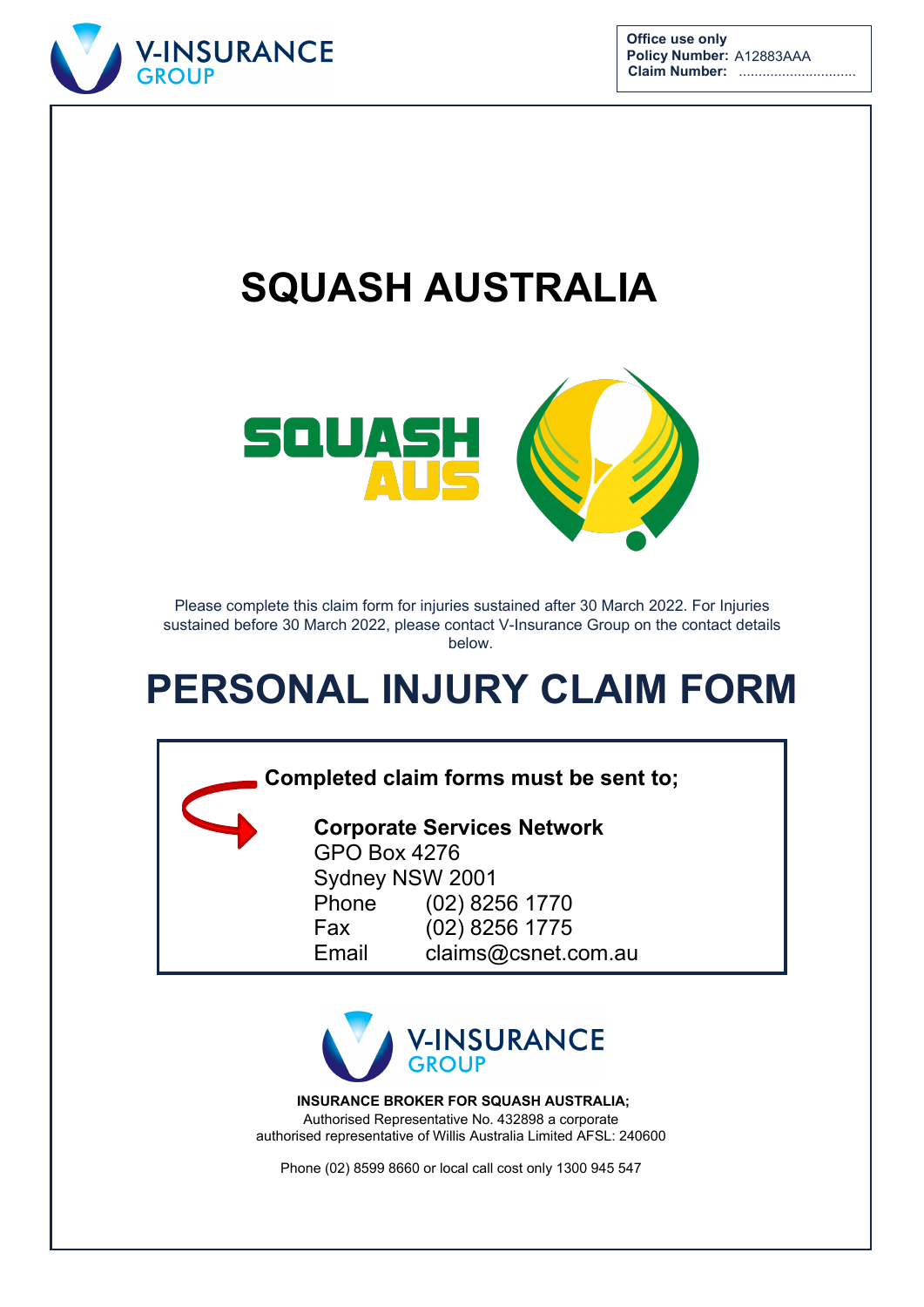



# **SQUASH AUSTRALIA**



Please complete this claim form for injuries sustained after 30 March 2022. For Injuries sustained before 30 March 2022, please contact V-Insurance Group on the contact details below.

# **PERSONAL INJURY CLAIM FORM**

### **Completed claim forms must be sent to;**

**Corporate Services Network**  GPO Box 4276 Sydney NSW 2001 Phone (02) 8256 1770 Fax (02) 8256 1775 Email claims@csnet.com.au



**INSURANCE BROKER FOR SQUASH AUSTRALIA;**  Authorised Representative No. 432898 a corporate authorised representative of Willis Australia Limited AFSL: 240600

Phone (02) 8599 8660 or local call cost only 1300 945 547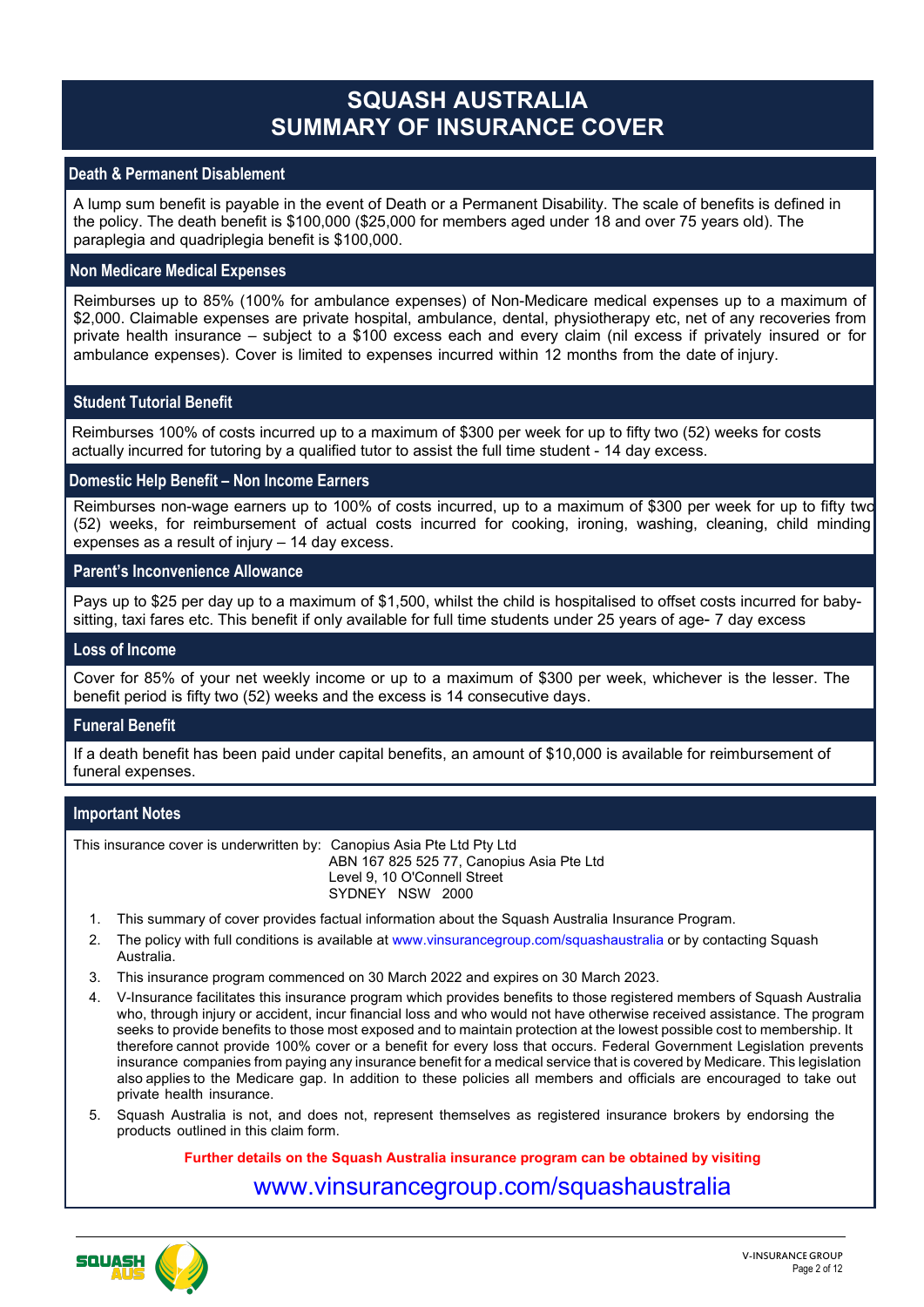## **SQUASH AUSTRALIA SUMMARY OF INSURANCE COVER**

#### **Death & Permanent Disablement**

A lump sum benefit is payable in the event of Death or a Permanent Disability. The scale of benefits is defined in the policy. The death benefit is \$100,000 (\$25,000 for members aged under 18 and over 75 years old). The paraplegia and quadriplegia benefit is \$100,000.

#### **Non Medicare Medical Expenses**

Reimburses up to 85% (100% for ambulance expenses) of Non-Medicare medical expenses up to a maximum of \$2,000. Claimable expenses are private hospital, ambulance, dental, physiotherapy etc, net of any recoveries from private health insurance – subject to a \$100 excess each and every claim (nil excess if privately insured or for ambulance expenses). Cover is limited to expenses incurred within 12 months from the date of injury.

#### **Student Tutorial Benefit**

Reimburses 100% of costs incurred up to a maximum of \$300 per week for up to fifty two (52) weeks for costs actually incurred for tutoring by a qualified tutor to assist the full time student - 14 day excess.

#### **Domestic Help Benefit – Non Income Earners**

Reimburses non-wage earners up to 100% of costs incurred, up to a maximum of \$300 per week for up to fifty two (52) weeks, for reimbursement of actual costs incurred for cooking, ironing, washing, cleaning, child minding expenses as a result of injury – 14 day excess.

#### **Parent's Inconvenience Allowance**

Pays up to \$25 per day up to a maximum of \$1,500, whilst the child is hospitalised to offset costs incurred for babysitting, taxi fares etc. This benefit if only available for full time students under 25 years of age- 7 day excess

#### **Loss of Income**

Cover for 85% of your net weekly income or up to a maximum of \$300 per week, whichever is the lesser. The benefit period is fifty two (52) weeks and the excess is 14 consecutive days.

#### **Funeral Benefit**

If a death benefit has been paid under capital benefits, an amount of \$10,000 is available for reimbursement of funeral expenses.

#### **Important Notes**

This insurance cover is underwritten by: Canopius Asia Pte Ltd Pty Ltd ABN 167 825 525 77, Canopius Asia Pte Ltd Level 9, 10 O'Connell Street SYDNEY NSW 2000

- 1. This summary of cover provides factual information about the Squash Australia Insurance Program.
- 2. The policy with full conditions is available at www.vinsurancegroup.com/squashaustralia or by contacting Squash Australia.
- 3. This insurance program commenced on 30 March 2022 and expires on 30 March 2023.
- 4. V-Insurance facilitates this insurance program which provides benefits to those registered members of Squash Australia who, through injury or accident, incur financial loss and who would not have otherwise received assistance. The program seeks to provide benefits to those most exposed and to maintain protection at the lowest possible cost to membership. It therefore cannot provide 100% cover or a benefit for every loss that occurs. Federal Government Legislation prevents insurance companies from paying any insurance benefit for a medical service that is covered by Medicare. This legislation also applies to the Medicare gap. In addition to these policies all members and officials are encouraged to take out private health insurance.
- 5. Squash Australia is not, and does not, represent themselves as registered insurance brokers by endorsing the products outlined in this claim form.

**Further details on the Squash Australia insurance program can be obtained by visiting**

### www.vinsurancegroup.com/squashaustralia

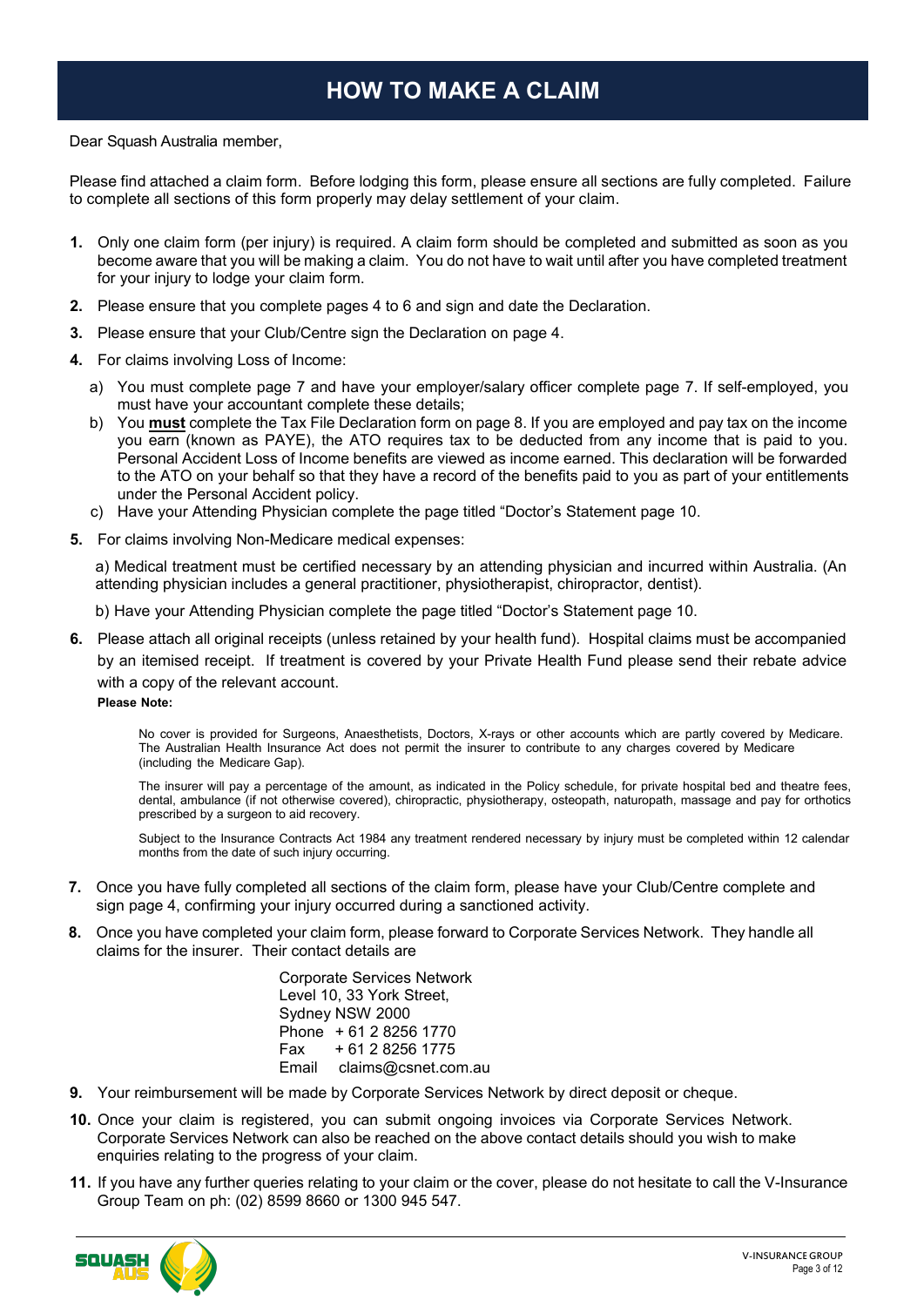# **HOW TO MAKE A CLAIM**

#### Dear Squash Australia member,

Please find attached a claim form. Before lodging this form, please ensure all sections are fully completed. Failure to complete all sections of this form properly may delay settlement of your claim.

- **1.** Only one claim form (per injury) is required. A claim form should be completed and submitted as soon as you become aware that you will be making a claim. You do not have to wait until after you have completed treatment for your injury to lodge your claim form.
- **2.** Please ensure that you complete pages 4 to 6 and sign and date the Declaration.
- **3.** Please ensure that your Club/Centre sign the Declaration on page 4.
- **4.** For claims involving Loss of Income:
	- a) You must complete page 7 and have your employer/salary officer complete page 7. If self-employed, you must have your accountant complete these details;
	- b) You **must** complete the Tax File Declaration form on page 8. If you are employed and pay tax on the income you earn (known as PAYE), the ATO requires tax to be deducted from any income that is paid to you. Personal Accident Loss of Income benefits are viewed as income earned. This declaration will be forwarded to the ATO on your behalf so that they have a record of the benefits paid to you as part of your entitlements under the Personal Accident policy.
	- c) Have your Attending Physician complete the page titled "Doctor's Statement page 10.
- **5.** For claims involving Non-Medicare medical expenses:

a) Medical treatment must be certified necessary by an attending physician and incurred within Australia. (An attending physician includes a general practitioner, physiotherapist, chiropractor, dentist).

b) Have your Attending Physician complete the page titled "Doctor's Statement page 10.

**6.** Please attach all original receipts (unless retained by your health fund). Hospital claims must be accompanied by an itemised receipt. If treatment is covered by your Private Health Fund please send their rebate advice with a copy of the relevant account.

**Please Note:**

No cover is provided for Surgeons, Anaesthetists, Doctors, X-rays or other accounts which are partly covered by Medicare. The Australian Health Insurance Act does not permit the insurer to contribute to any charges covered by Medicare (including the Medicare Gap).

The insurer will pay a percentage of the amount, as indicated in the Policy schedule, for private hospital bed and theatre fees, dental, ambulance (if not otherwise covered), chiropractic, physiotherapy, osteopath, naturopath, massage and pay for orthotics prescribed by a surgeon to aid recovery.

Subject to the Insurance Contracts Act 1984 any treatment rendered necessary by injury must be completed within 12 calendar months from the date of such injury occurring.

- **7.** Once you have fully completed all sections of the claim form, please have your Club/Centre complete and sign page 4, confirming your injury occurred during a sanctioned activity.
- **8.** Once you have completed your claim form, please forward to Corporate Services Network. They handle all claims for the insurer. Their contact details are

Corporate Services Network Level 10, 33 York Street, Sydney NSW 2000 Phone + 61 2 8256 1770  $+ 61 2 8256 1775$ Email claims@csnet.com.au

- **9.** Your reimbursement will be made by Corporate Services Network by direct deposit or cheque.
- **10.** Once your claim is registered, you can submit ongoing invoices via Corporate Services Network. Corporate Services Network can also be reached on the above contact details should you wish to make enquiries relating to the progress of your claim.
- **11.** If you have any further queries relating to your claim or the cover, please do not hesitate to call the V-Insurance Group Team on ph: (02) 8599 8660 or 1300 945 547.

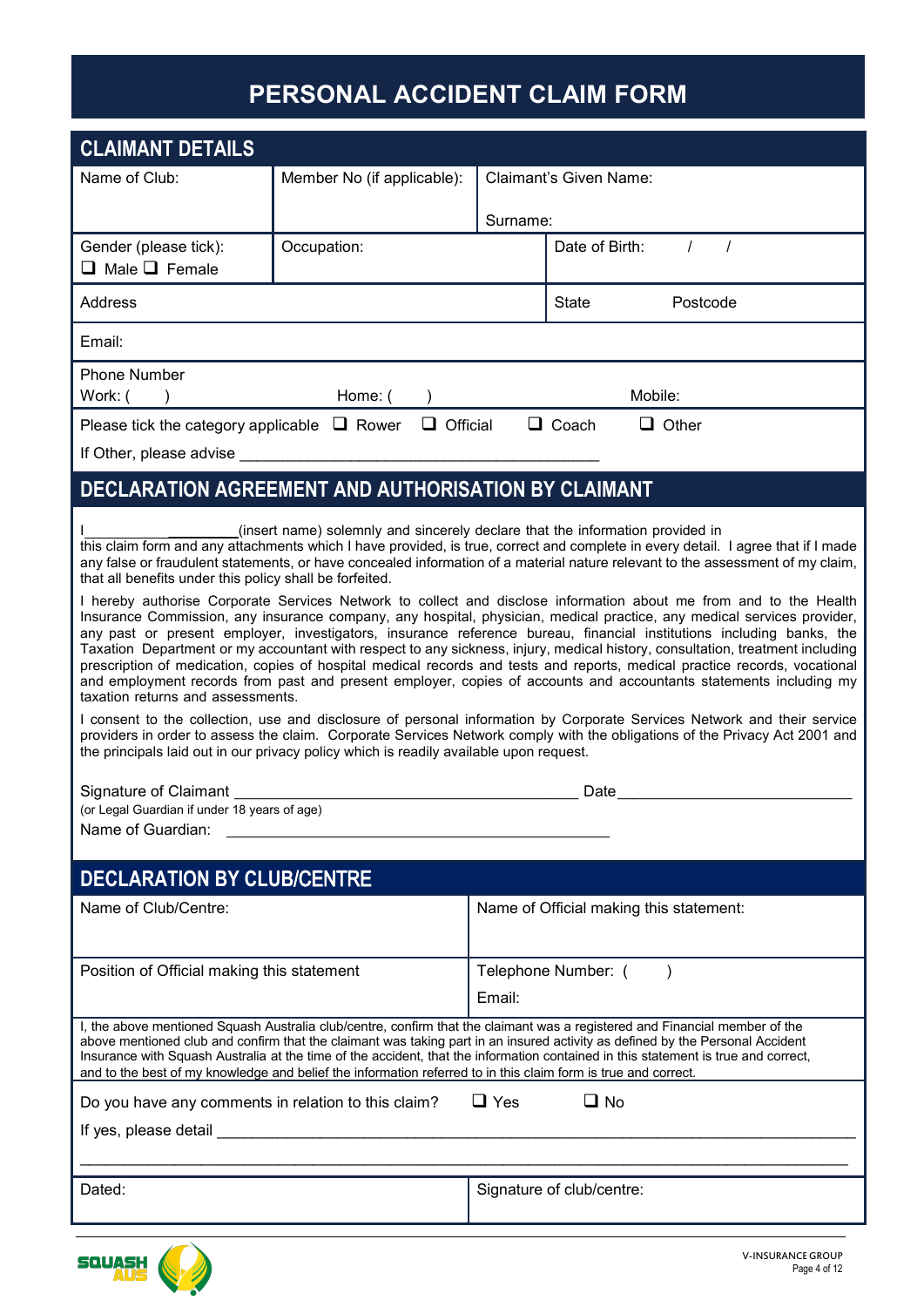# **PERSONAL ACCIDENT CLAIM FORM**

| <b>CLAIMANT DETAILS</b>                                                                                                                                                                                                                                                                                                                         |                                                                                                                                                                                                                                                                                                                                                                                                                                                                                                                                                                                                                                                                                                                                                         |          |                                                                                                                                                                                                                                                                                                                                                                                                    |  |  |
|-------------------------------------------------------------------------------------------------------------------------------------------------------------------------------------------------------------------------------------------------------------------------------------------------------------------------------------------------|---------------------------------------------------------------------------------------------------------------------------------------------------------------------------------------------------------------------------------------------------------------------------------------------------------------------------------------------------------------------------------------------------------------------------------------------------------------------------------------------------------------------------------------------------------------------------------------------------------------------------------------------------------------------------------------------------------------------------------------------------------|----------|----------------------------------------------------------------------------------------------------------------------------------------------------------------------------------------------------------------------------------------------------------------------------------------------------------------------------------------------------------------------------------------------------|--|--|
| Name of Club:                                                                                                                                                                                                                                                                                                                                   | Member No (if applicable):                                                                                                                                                                                                                                                                                                                                                                                                                                                                                                                                                                                                                                                                                                                              |          | <b>Claimant's Given Name:</b>                                                                                                                                                                                                                                                                                                                                                                      |  |  |
|                                                                                                                                                                                                                                                                                                                                                 |                                                                                                                                                                                                                                                                                                                                                                                                                                                                                                                                                                                                                                                                                                                                                         | Surname: |                                                                                                                                                                                                                                                                                                                                                                                                    |  |  |
| Gender (please tick):                                                                                                                                                                                                                                                                                                                           | Occupation:                                                                                                                                                                                                                                                                                                                                                                                                                                                                                                                                                                                                                                                                                                                                             |          | $\sqrt{ }$<br>Date of Birth:<br>$\prime$                                                                                                                                                                                                                                                                                                                                                           |  |  |
| $\Box$ Male $\Box$ Female                                                                                                                                                                                                                                                                                                                       |                                                                                                                                                                                                                                                                                                                                                                                                                                                                                                                                                                                                                                                                                                                                                         |          |                                                                                                                                                                                                                                                                                                                                                                                                    |  |  |
| Address                                                                                                                                                                                                                                                                                                                                         |                                                                                                                                                                                                                                                                                                                                                                                                                                                                                                                                                                                                                                                                                                                                                         |          | Postcode<br><b>State</b>                                                                                                                                                                                                                                                                                                                                                                           |  |  |
| Email:                                                                                                                                                                                                                                                                                                                                          |                                                                                                                                                                                                                                                                                                                                                                                                                                                                                                                                                                                                                                                                                                                                                         |          |                                                                                                                                                                                                                                                                                                                                                                                                    |  |  |
| <b>Phone Number</b><br>Work: (                                                                                                                                                                                                                                                                                                                  | Home: (                                                                                                                                                                                                                                                                                                                                                                                                                                                                                                                                                                                                                                                                                                                                                 |          | Mobile:                                                                                                                                                                                                                                                                                                                                                                                            |  |  |
| Please tick the category applicable $\Box$ Rower                                                                                                                                                                                                                                                                                                | $\Box$ Official                                                                                                                                                                                                                                                                                                                                                                                                                                                                                                                                                                                                                                                                                                                                         |          | $\Box$ Coach<br>$\Box$ Other                                                                                                                                                                                                                                                                                                                                                                       |  |  |
|                                                                                                                                                                                                                                                                                                                                                 | If Other, please advise example and the state of the state of the state of the state of the state of the state of the state of the state of the state of the state of the state of the state of the state of the state of the                                                                                                                                                                                                                                                                                                                                                                                                                                                                                                                           |          |                                                                                                                                                                                                                                                                                                                                                                                                    |  |  |
|                                                                                                                                                                                                                                                                                                                                                 | DECLARATION AGREEMENT AND AUTHORISATION BY CLAIMANT                                                                                                                                                                                                                                                                                                                                                                                                                                                                                                                                                                                                                                                                                                     |          |                                                                                                                                                                                                                                                                                                                                                                                                    |  |  |
| that all benefits under this policy shall be forfeited.                                                                                                                                                                                                                                                                                         | (insert name) solemnly and sincerely declare that the information provided in                                                                                                                                                                                                                                                                                                                                                                                                                                                                                                                                                                                                                                                                           |          | this claim form and any attachments which I have provided, is true, correct and complete in every detail. I agree that if I made<br>any false or fraudulent statements, or have concealed information of a material nature relevant to the assessment of my claim,                                                                                                                                 |  |  |
| taxation returns and assessments.                                                                                                                                                                                                                                                                                                               | I hereby authorise Corporate Services Network to collect and disclose information about me from and to the Health<br>Insurance Commission, any insurance company, any hospital, physician, medical practice, any medical services provider,<br>any past or present employer, investigators, insurance reference bureau, financial institutions including banks, the<br>Taxation Department or my accountant with respect to any sickness, injury, medical history, consultation, treatment including<br>prescription of medication, copies of hospital medical records and tests and reports, medical practice records, vocational<br>and employment records from past and present employer, copies of accounts and accountants statements including my |          |                                                                                                                                                                                                                                                                                                                                                                                                    |  |  |
| I consent to the collection, use and disclosure of personal information by Corporate Services Network and their service<br>providers in order to assess the claim. Corporate Services Network comply with the obligations of the Privacy Act 2001 and<br>the principals laid out in our privacy policy which is readily available upon request. |                                                                                                                                                                                                                                                                                                                                                                                                                                                                                                                                                                                                                                                                                                                                                         |          |                                                                                                                                                                                                                                                                                                                                                                                                    |  |  |
|                                                                                                                                                                                                                                                                                                                                                 | Date and the state of the state of the state of the state of the state of the state of the state of the state of the state of the state of the state of the state of the state of the state of the state of the state of the s                                                                                                                                                                                                                                                                                                                                                                                                                                                                                                                          |          |                                                                                                                                                                                                                                                                                                                                                                                                    |  |  |
| (or Legal Guardian if under 18 years of age)<br>Name of Guardian:                                                                                                                                                                                                                                                                               |                                                                                                                                                                                                                                                                                                                                                                                                                                                                                                                                                                                                                                                                                                                                                         |          |                                                                                                                                                                                                                                                                                                                                                                                                    |  |  |
|                                                                                                                                                                                                                                                                                                                                                 |                                                                                                                                                                                                                                                                                                                                                                                                                                                                                                                                                                                                                                                                                                                                                         |          |                                                                                                                                                                                                                                                                                                                                                                                                    |  |  |
| <b>DECLARATION BY CLUB/CENTRE</b>                                                                                                                                                                                                                                                                                                               |                                                                                                                                                                                                                                                                                                                                                                                                                                                                                                                                                                                                                                                                                                                                                         |          |                                                                                                                                                                                                                                                                                                                                                                                                    |  |  |
| Name of Club/Centre:                                                                                                                                                                                                                                                                                                                            |                                                                                                                                                                                                                                                                                                                                                                                                                                                                                                                                                                                                                                                                                                                                                         |          | Name of Official making this statement:                                                                                                                                                                                                                                                                                                                                                            |  |  |
| Position of Official making this statement                                                                                                                                                                                                                                                                                                      |                                                                                                                                                                                                                                                                                                                                                                                                                                                                                                                                                                                                                                                                                                                                                         |          | Telephone Number: (                                                                                                                                                                                                                                                                                                                                                                                |  |  |
|                                                                                                                                                                                                                                                                                                                                                 |                                                                                                                                                                                                                                                                                                                                                                                                                                                                                                                                                                                                                                                                                                                                                         | Email:   |                                                                                                                                                                                                                                                                                                                                                                                                    |  |  |
|                                                                                                                                                                                                                                                                                                                                                 | and to the best of my knowledge and belief the information referred to in this claim form is true and correct.                                                                                                                                                                                                                                                                                                                                                                                                                                                                                                                                                                                                                                          |          | I, the above mentioned Squash Australia club/centre, confirm that the claimant was a registered and Financial member of the<br>above mentioned club and confirm that the claimant was taking part in an insured activity as defined by the Personal Accident<br>Insurance with Squash Australia at the time of the accident, that the information contained in this statement is true and correct, |  |  |
| $\Box$ Yes<br>$\Box$ No<br>Do you have any comments in relation to this claim?                                                                                                                                                                                                                                                                  |                                                                                                                                                                                                                                                                                                                                                                                                                                                                                                                                                                                                                                                                                                                                                         |          |                                                                                                                                                                                                                                                                                                                                                                                                    |  |  |
|                                                                                                                                                                                                                                                                                                                                                 | If yes, please detail expression and the set of the set of the set of the set of the set of the set of the set of the set of the set of the set of the set of the set of the set of the set of the set of the set of the set o                                                                                                                                                                                                                                                                                                                                                                                                                                                                                                                          |          |                                                                                                                                                                                                                                                                                                                                                                                                    |  |  |
| Dated:                                                                                                                                                                                                                                                                                                                                          |                                                                                                                                                                                                                                                                                                                                                                                                                                                                                                                                                                                                                                                                                                                                                         |          | Signature of club/centre:                                                                                                                                                                                                                                                                                                                                                                          |  |  |

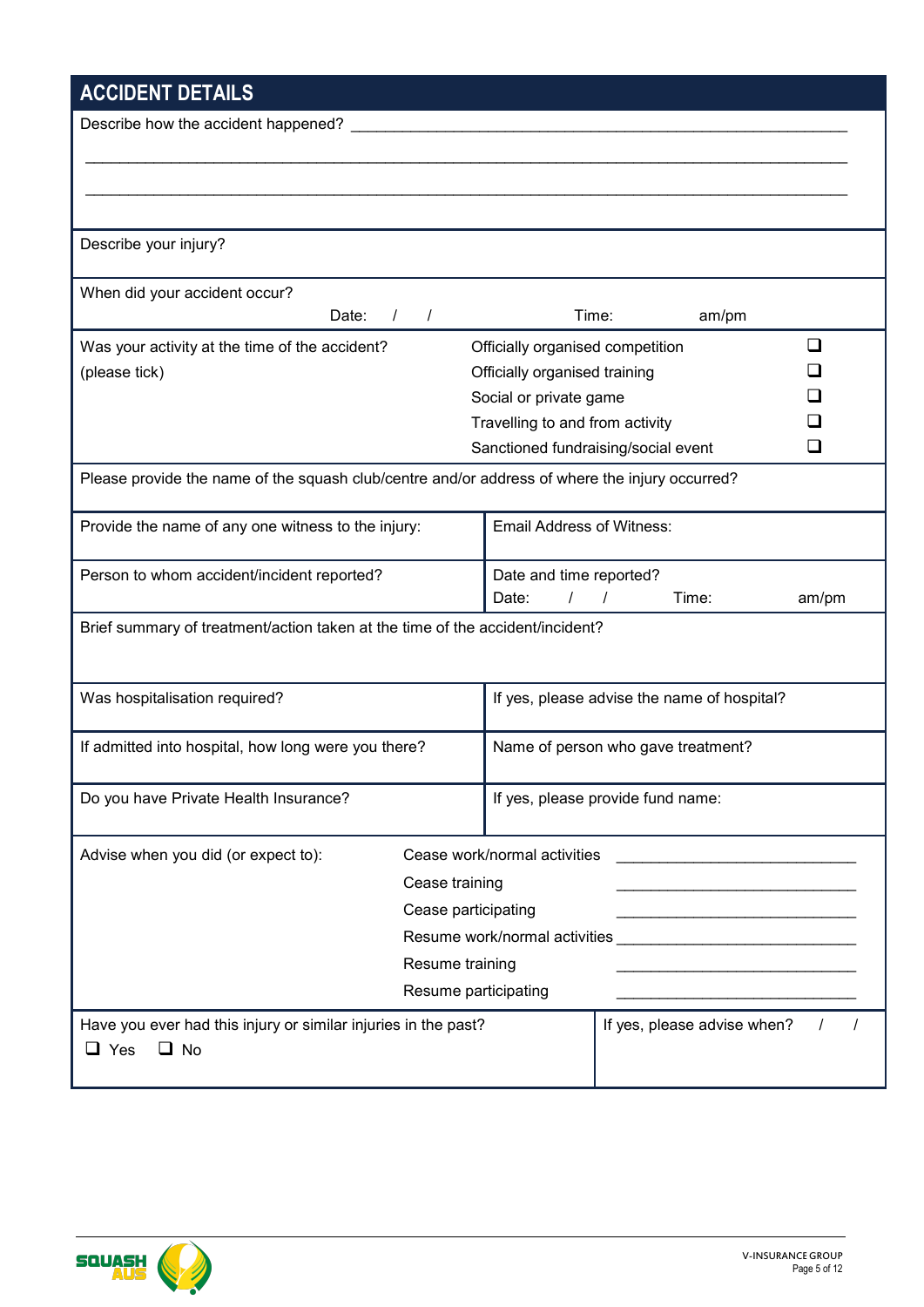# **ACCIDENT DETAILS**

| <b>AUGIDENT DETAILS</b>                                                                        |                        |                                                                                                                                                                                                                               |          |                                                                                                                        |          |
|------------------------------------------------------------------------------------------------|------------------------|-------------------------------------------------------------------------------------------------------------------------------------------------------------------------------------------------------------------------------|----------|------------------------------------------------------------------------------------------------------------------------|----------|
| Describe how the accident happened? ______                                                     |                        |                                                                                                                                                                                                                               |          |                                                                                                                        |          |
|                                                                                                |                        |                                                                                                                                                                                                                               |          |                                                                                                                        |          |
|                                                                                                |                        |                                                                                                                                                                                                                               |          |                                                                                                                        |          |
|                                                                                                |                        |                                                                                                                                                                                                                               |          |                                                                                                                        |          |
| Describe your injury?                                                                          |                        |                                                                                                                                                                                                                               |          |                                                                                                                        |          |
|                                                                                                |                        |                                                                                                                                                                                                                               |          |                                                                                                                        |          |
| When did your accident occur?                                                                  |                        |                                                                                                                                                                                                                               |          |                                                                                                                        |          |
| Date:                                                                                          | $\sqrt{ }$<br>$\prime$ | Time:                                                                                                                                                                                                                         |          | am/pm                                                                                                                  |          |
| Was your activity at the time of the accident?                                                 |                        | Officially organised competition                                                                                                                                                                                              |          |                                                                                                                        | ப        |
| (please tick)                                                                                  |                        | Officially organised training                                                                                                                                                                                                 |          |                                                                                                                        |          |
|                                                                                                |                        | Social or private game                                                                                                                                                                                                        |          |                                                                                                                        |          |
|                                                                                                |                        | Travelling to and from activity                                                                                                                                                                                               |          |                                                                                                                        |          |
|                                                                                                |                        | Sanctioned fundraising/social event                                                                                                                                                                                           |          |                                                                                                                        | ❏        |
| Please provide the name of the squash club/centre and/or address of where the injury occurred? |                        |                                                                                                                                                                                                                               |          |                                                                                                                        |          |
| Provide the name of any one witness to the injury:                                             |                        | <b>Email Address of Witness:</b>                                                                                                                                                                                              |          |                                                                                                                        |          |
| Person to whom accident/incident reported?                                                     |                        | Date and time reported?                                                                                                                                                                                                       |          |                                                                                                                        |          |
|                                                                                                |                        | Date:                                                                                                                                                                                                                         | $\prime$ | Time:                                                                                                                  | am/pm    |
| Brief summary of treatment/action taken at the time of the accident/incident?                  |                        |                                                                                                                                                                                                                               |          |                                                                                                                        |          |
|                                                                                                |                        |                                                                                                                                                                                                                               |          |                                                                                                                        |          |
| Was hospitalisation required?                                                                  |                        | If yes, please advise the name of hospital?                                                                                                                                                                                   |          |                                                                                                                        |          |
|                                                                                                |                        |                                                                                                                                                                                                                               |          |                                                                                                                        |          |
| If admitted into hospital, how long were you there?                                            |                        | Name of person who gave treatment?                                                                                                                                                                                            |          |                                                                                                                        |          |
| Do you have Private Health Insurance?                                                          |                        | If yes, please provide fund name:                                                                                                                                                                                             |          |                                                                                                                        |          |
|                                                                                                |                        |                                                                                                                                                                                                                               |          |                                                                                                                        |          |
| Advise when you did (or expect to):                                                            |                        | Cease work/normal activities                                                                                                                                                                                                  |          |                                                                                                                        |          |
|                                                                                                | Cease training         |                                                                                                                                                                                                                               |          |                                                                                                                        |          |
|                                                                                                | Cease participating    |                                                                                                                                                                                                                               |          | <u> 1989 - Johann John Barn, mars ar breist ar yn y breist y breist y breist y breist ar y breist ar y breist ar y</u> |          |
|                                                                                                |                        | Resume work/normal activities example and the set of the set of the set of the set of the set of the set of the set of the set of the set of the set of the set of the set of the set of the set of the set of the set of the |          |                                                                                                                        |          |
|                                                                                                | Resume training        |                                                                                                                                                                                                                               |          |                                                                                                                        |          |
|                                                                                                | Resume participating   |                                                                                                                                                                                                                               |          |                                                                                                                        |          |
| Have you ever had this injury or similar injuries in the past?                                 |                        |                                                                                                                                                                                                                               |          | If yes, please advise when?                                                                                            | $\prime$ |
| $\Box$ No<br>$\Box$ Yes                                                                        |                        |                                                                                                                                                                                                                               |          |                                                                                                                        |          |
|                                                                                                |                        |                                                                                                                                                                                                                               |          |                                                                                                                        |          |

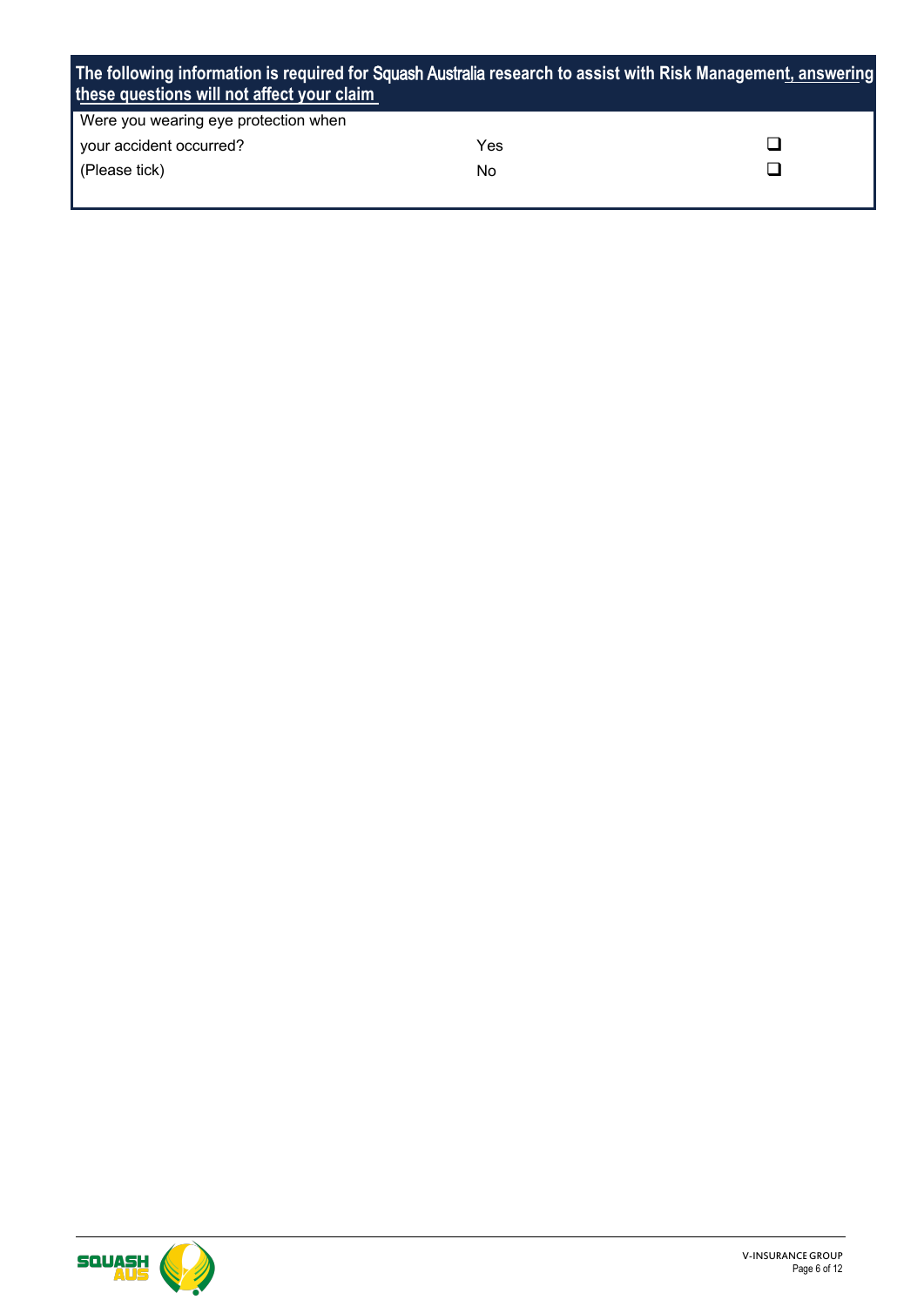| The following information is required for Squash Australia research to assist with Risk Management, answering<br>these questions will not affect your claim |     |  |
|-------------------------------------------------------------------------------------------------------------------------------------------------------------|-----|--|
| Were you wearing eye protection when                                                                                                                        |     |  |
| your accident occurred?                                                                                                                                     | Yes |  |
| (Please tick)                                                                                                                                               | No  |  |

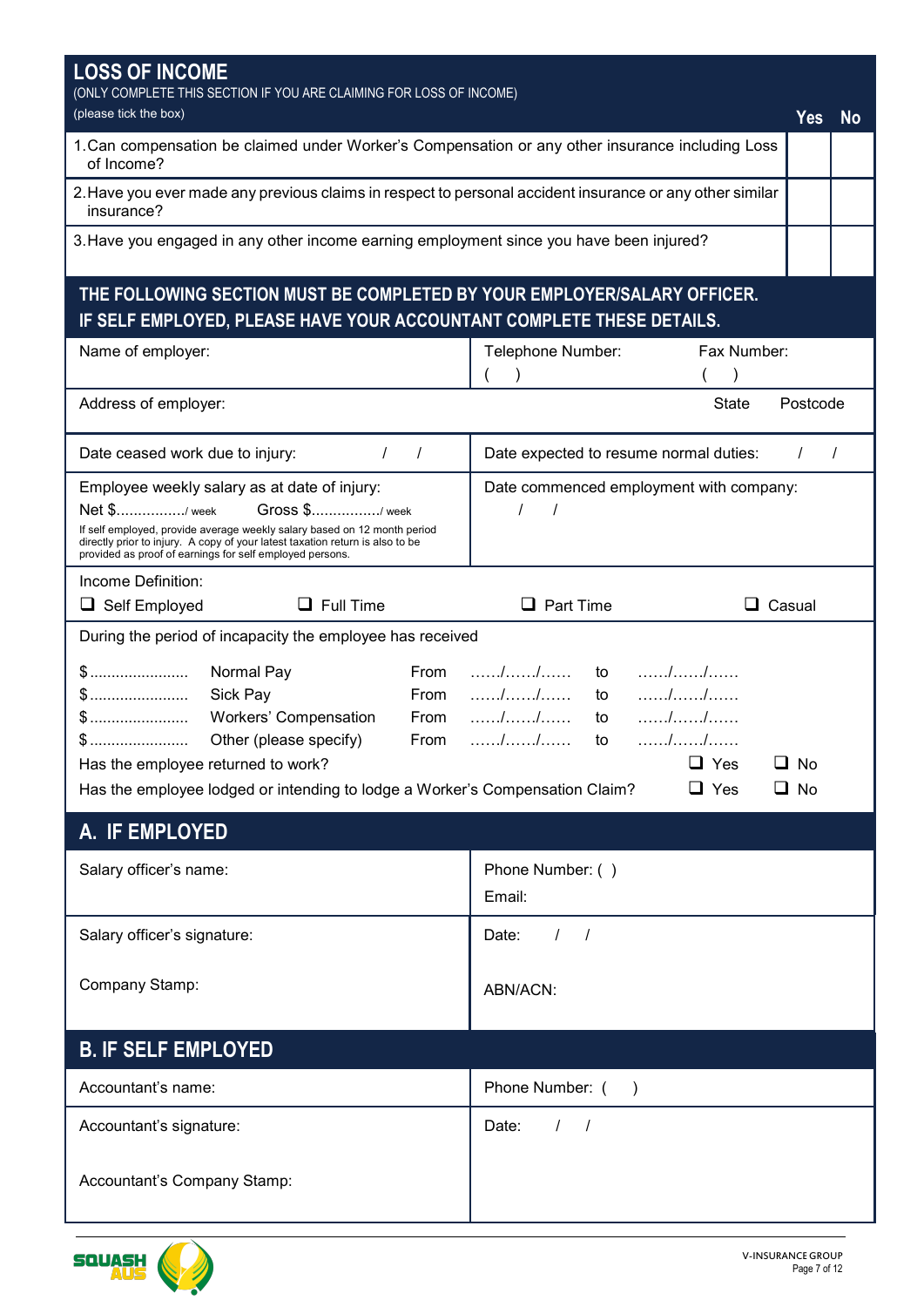| (ONLY COMPLETE THIS SECTION IF YOU ARE CLAIMING FOR LOSS OF INCOME)<br>(please tick the box)<br>Yes<br><b>No</b><br>1. Can compensation be claimed under Worker's Compensation or any other insurance including Loss<br>of Income?<br>2. Have you ever made any previous claims in respect to personal accident insurance or any other similar<br>insurance?<br>3. Have you engaged in any other income earning employment since you have been injured?<br>THE FOLLOWING SECTION MUST BE COMPLETED BY YOUR EMPLOYER/SALARY OFFICER.<br>IF SELF EMPLOYED, PLEASE HAVE YOUR ACCOUNTANT COMPLETE THESE DETAILS.<br>Fax Number:<br>Name of employer:<br>Telephone Number:<br><b>State</b><br>Postcode<br>Address of employer:<br>Date expected to resume normal duties:<br>Date ceased work due to injury:<br>$\prime$<br>$\sqrt{ }$<br>$\prime$<br>$\prime$<br>Employee weekly salary as at date of injury:<br>Date commenced employment with company:<br>Net \$/ week<br>Gross \$/week<br>$\prime$<br>$\prime$<br>If self employed, provide average weekly salary based on 12 month period<br>directly prior to injury. A copy of your latest taxation return is also to be<br>provided as proof of earnings for self employed persons.<br>Income Definition:<br>$\Box$ Full Time<br>$\Box$ Part Time<br>$\Box$ Self Employed<br>$\Box$ Casual<br>During the period of incapacity the employee has received<br>. / /<br>Normal Pay<br>From<br>to<br>From<br>Sick Pay<br>to<br>. / /<br>\$<br><b>Workers' Compensation</b><br>From<br>to<br>Other (please specify)<br><b>From</b><br>to<br>$\Box$ Yes<br>$\Box$ No<br>Has the employee returned to work?<br>Has the employee lodged or intending to lodge a Worker's Compensation Claim?<br>$\square$ No<br>$\Box$ Yes<br>A. IF EMPLOYED<br>Salary officer's name:<br>Phone Number: ()<br>Email:<br>Salary officer's signature:<br>Date:<br>$\left  \right $<br>Company Stamp:<br>ABN/ACN:<br><b>B. IF SELF EMPLOYED</b><br>Phone Number: ()<br>Accountant's name:<br>Date:<br>$1 \quad 1$<br>Accountant's signature:<br>Accountant's Company Stamp: | <b>LOSS OF INCOME</b> |  |  |  |  |
|---------------------------------------------------------------------------------------------------------------------------------------------------------------------------------------------------------------------------------------------------------------------------------------------------------------------------------------------------------------------------------------------------------------------------------------------------------------------------------------------------------------------------------------------------------------------------------------------------------------------------------------------------------------------------------------------------------------------------------------------------------------------------------------------------------------------------------------------------------------------------------------------------------------------------------------------------------------------------------------------------------------------------------------------------------------------------------------------------------------------------------------------------------------------------------------------------------------------------------------------------------------------------------------------------------------------------------------------------------------------------------------------------------------------------------------------------------------------------------------------------------------------------------------------------------------------------------------------------------------------------------------------------------------------------------------------------------------------------------------------------------------------------------------------------------------------------------------------------------------------------------------------------------------------------------------------------------------------------------------------------------------------------------------------------------------------------------------------------|-----------------------|--|--|--|--|
|                                                                                                                                                                                                                                                                                                                                                                                                                                                                                                                                                                                                                                                                                                                                                                                                                                                                                                                                                                                                                                                                                                                                                                                                                                                                                                                                                                                                                                                                                                                                                                                                                                                                                                                                                                                                                                                                                                                                                                                                                                                                                                   |                       |  |  |  |  |
|                                                                                                                                                                                                                                                                                                                                                                                                                                                                                                                                                                                                                                                                                                                                                                                                                                                                                                                                                                                                                                                                                                                                                                                                                                                                                                                                                                                                                                                                                                                                                                                                                                                                                                                                                                                                                                                                                                                                                                                                                                                                                                   |                       |  |  |  |  |
|                                                                                                                                                                                                                                                                                                                                                                                                                                                                                                                                                                                                                                                                                                                                                                                                                                                                                                                                                                                                                                                                                                                                                                                                                                                                                                                                                                                                                                                                                                                                                                                                                                                                                                                                                                                                                                                                                                                                                                                                                                                                                                   |                       |  |  |  |  |
|                                                                                                                                                                                                                                                                                                                                                                                                                                                                                                                                                                                                                                                                                                                                                                                                                                                                                                                                                                                                                                                                                                                                                                                                                                                                                                                                                                                                                                                                                                                                                                                                                                                                                                                                                                                                                                                                                                                                                                                                                                                                                                   |                       |  |  |  |  |
|                                                                                                                                                                                                                                                                                                                                                                                                                                                                                                                                                                                                                                                                                                                                                                                                                                                                                                                                                                                                                                                                                                                                                                                                                                                                                                                                                                                                                                                                                                                                                                                                                                                                                                                                                                                                                                                                                                                                                                                                                                                                                                   |                       |  |  |  |  |
|                                                                                                                                                                                                                                                                                                                                                                                                                                                                                                                                                                                                                                                                                                                                                                                                                                                                                                                                                                                                                                                                                                                                                                                                                                                                                                                                                                                                                                                                                                                                                                                                                                                                                                                                                                                                                                                                                                                                                                                                                                                                                                   |                       |  |  |  |  |
|                                                                                                                                                                                                                                                                                                                                                                                                                                                                                                                                                                                                                                                                                                                                                                                                                                                                                                                                                                                                                                                                                                                                                                                                                                                                                                                                                                                                                                                                                                                                                                                                                                                                                                                                                                                                                                                                                                                                                                                                                                                                                                   |                       |  |  |  |  |
|                                                                                                                                                                                                                                                                                                                                                                                                                                                                                                                                                                                                                                                                                                                                                                                                                                                                                                                                                                                                                                                                                                                                                                                                                                                                                                                                                                                                                                                                                                                                                                                                                                                                                                                                                                                                                                                                                                                                                                                                                                                                                                   |                       |  |  |  |  |
|                                                                                                                                                                                                                                                                                                                                                                                                                                                                                                                                                                                                                                                                                                                                                                                                                                                                                                                                                                                                                                                                                                                                                                                                                                                                                                                                                                                                                                                                                                                                                                                                                                                                                                                                                                                                                                                                                                                                                                                                                                                                                                   |                       |  |  |  |  |
|                                                                                                                                                                                                                                                                                                                                                                                                                                                                                                                                                                                                                                                                                                                                                                                                                                                                                                                                                                                                                                                                                                                                                                                                                                                                                                                                                                                                                                                                                                                                                                                                                                                                                                                                                                                                                                                                                                                                                                                                                                                                                                   |                       |  |  |  |  |
|                                                                                                                                                                                                                                                                                                                                                                                                                                                                                                                                                                                                                                                                                                                                                                                                                                                                                                                                                                                                                                                                                                                                                                                                                                                                                                                                                                                                                                                                                                                                                                                                                                                                                                                                                                                                                                                                                                                                                                                                                                                                                                   |                       |  |  |  |  |
|                                                                                                                                                                                                                                                                                                                                                                                                                                                                                                                                                                                                                                                                                                                                                                                                                                                                                                                                                                                                                                                                                                                                                                                                                                                                                                                                                                                                                                                                                                                                                                                                                                                                                                                                                                                                                                                                                                                                                                                                                                                                                                   |                       |  |  |  |  |
|                                                                                                                                                                                                                                                                                                                                                                                                                                                                                                                                                                                                                                                                                                                                                                                                                                                                                                                                                                                                                                                                                                                                                                                                                                                                                                                                                                                                                                                                                                                                                                                                                                                                                                                                                                                                                                                                                                                                                                                                                                                                                                   |                       |  |  |  |  |
|                                                                                                                                                                                                                                                                                                                                                                                                                                                                                                                                                                                                                                                                                                                                                                                                                                                                                                                                                                                                                                                                                                                                                                                                                                                                                                                                                                                                                                                                                                                                                                                                                                                                                                                                                                                                                                                                                                                                                                                                                                                                                                   |                       |  |  |  |  |
|                                                                                                                                                                                                                                                                                                                                                                                                                                                                                                                                                                                                                                                                                                                                                                                                                                                                                                                                                                                                                                                                                                                                                                                                                                                                                                                                                                                                                                                                                                                                                                                                                                                                                                                                                                                                                                                                                                                                                                                                                                                                                                   |                       |  |  |  |  |
|                                                                                                                                                                                                                                                                                                                                                                                                                                                                                                                                                                                                                                                                                                                                                                                                                                                                                                                                                                                                                                                                                                                                                                                                                                                                                                                                                                                                                                                                                                                                                                                                                                                                                                                                                                                                                                                                                                                                                                                                                                                                                                   |                       |  |  |  |  |
|                                                                                                                                                                                                                                                                                                                                                                                                                                                                                                                                                                                                                                                                                                                                                                                                                                                                                                                                                                                                                                                                                                                                                                                                                                                                                                                                                                                                                                                                                                                                                                                                                                                                                                                                                                                                                                                                                                                                                                                                                                                                                                   |                       |  |  |  |  |
|                                                                                                                                                                                                                                                                                                                                                                                                                                                                                                                                                                                                                                                                                                                                                                                                                                                                                                                                                                                                                                                                                                                                                                                                                                                                                                                                                                                                                                                                                                                                                                                                                                                                                                                                                                                                                                                                                                                                                                                                                                                                                                   |                       |  |  |  |  |
|                                                                                                                                                                                                                                                                                                                                                                                                                                                                                                                                                                                                                                                                                                                                                                                                                                                                                                                                                                                                                                                                                                                                                                                                                                                                                                                                                                                                                                                                                                                                                                                                                                                                                                                                                                                                                                                                                                                                                                                                                                                                                                   |                       |  |  |  |  |
|                                                                                                                                                                                                                                                                                                                                                                                                                                                                                                                                                                                                                                                                                                                                                                                                                                                                                                                                                                                                                                                                                                                                                                                                                                                                                                                                                                                                                                                                                                                                                                                                                                                                                                                                                                                                                                                                                                                                                                                                                                                                                                   |                       |  |  |  |  |

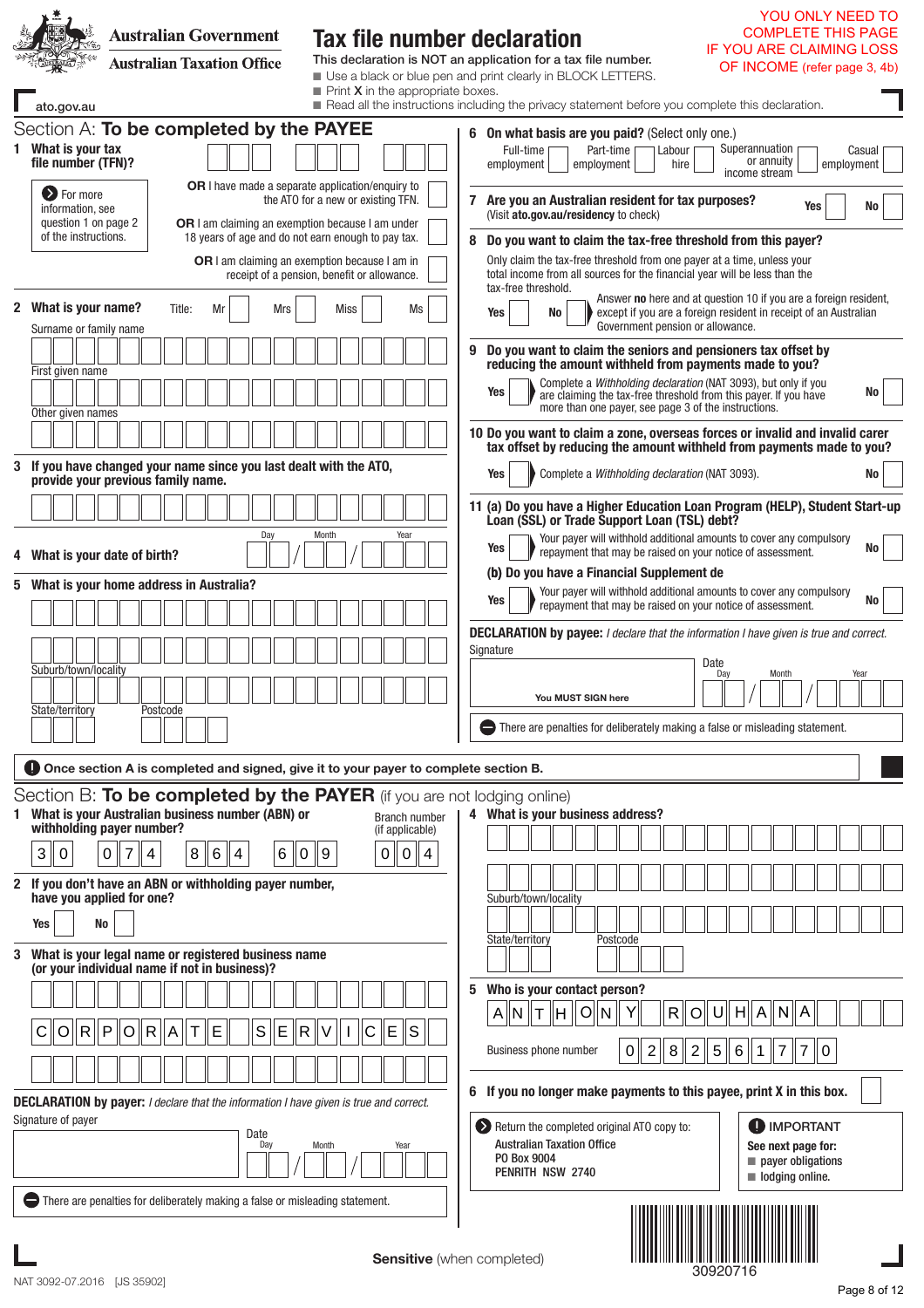|   | <b>Australian Government</b><br><b>Australian Taxation Office</b>                                                                                                                                                                                                                                                                                                      | <b>Tax file number declaration</b>                                                  | YOU ONLY NEED TO<br><b>COMPLETE THIS PAGE</b><br><b>IF YOU ARE CLAIMING LOSS</b><br>This declaration is NOT an application for a tax file number.<br>OF INCOME (refer page 3, 4b)                                                                                                                                                                                                                       |
|---|------------------------------------------------------------------------------------------------------------------------------------------------------------------------------------------------------------------------------------------------------------------------------------------------------------------------------------------------------------------------|-------------------------------------------------------------------------------------|---------------------------------------------------------------------------------------------------------------------------------------------------------------------------------------------------------------------------------------------------------------------------------------------------------------------------------------------------------------------------------------------------------|
|   | ato.gov.au                                                                                                                                                                                                                                                                                                                                                             | $\blacksquare$ Print <b>X</b> in the appropriate boxes.                             | Use a black or blue pen and print clearly in BLOCK LETTERS.<br>Read all the instructions including the privacy statement before you complete this declaration.                                                                                                                                                                                                                                          |
|   | Section A: To be completed by the PAYEE<br>1 What is your tax<br>file number (TFN)?                                                                                                                                                                                                                                                                                    |                                                                                     | 6 On what basis are you paid? (Select only one.)<br>Superannuation<br>Full-time<br>Part-time<br>Labour<br>Casual<br>or annuity<br>employment<br>employment<br>hire<br>employment<br>income stream                                                                                                                                                                                                       |
|   | <b>OR</b> I have made a separate application/enquiry to<br><b>O</b> For more<br>information, see<br>question 1 on page 2<br>OR I am claiming an exemption because I am under<br>of the instructions.<br>18 years of age and do not earn enough to pay tax.<br>OR I am claiming an exemption because I am in                                                            | the ATO for a new or existing TFN.<br>receipt of a pension, benefit or allowance.   | 7 Are you an Australian resident for tax purposes?<br>Yes<br>No<br>(Visit ato.gov.au/residency to check)<br>Do you want to claim the tax-free threshold from this payer?<br>8<br>Only claim the tax-free threshold from one payer at a time, unless your<br>total income from all sources for the financial year will be less than the                                                                  |
|   | 2 What is your name?<br>Title:<br>Mrs<br>Surname or family name                                                                                                                                                                                                                                                                                                        | <b>Miss</b><br>Ms                                                                   | tax-free threshold.<br>Answer no here and at question 10 if you are a foreign resident,<br>except if you are a foreign resident in receipt of an Australian<br>Yes<br>No<br>Government pension or allowance.                                                                                                                                                                                            |
|   | First given name<br>Other given names                                                                                                                                                                                                                                                                                                                                  |                                                                                     | 9<br>Do you want to claim the seniors and pensioners tax offset by<br>reducing the amount withheld from payments made to you?<br>Complete a Withholding declaration (NAT 3093), but only if you<br>Yes<br>No<br>are claiming the tax-free threshold from this payer. If you have<br>more than one payer, see page 3 of the instructions.                                                                |
|   | 3 If you have changed your name since you last dealt with the ATO,<br>provide your previous family name.                                                                                                                                                                                                                                                               |                                                                                     | 10 Do you want to claim a zone, overseas forces or invalid and invalid carer<br>tax offset by reducing the amount withheld from payments made to you?<br>Complete a Withholding declaration (NAT 3093).<br>Yes<br>No                                                                                                                                                                                    |
|   | Day                                                                                                                                                                                                                                                                                                                                                                    | Month<br>Year                                                                       | 11 (a) Do you have a Higher Education Loan Program (HELP), Student Start-up<br>Loan (SSL) or Trade Support Loan (TSL) debt?<br>Your payer will withhold additional amounts to cover any compulsory                                                                                                                                                                                                      |
|   | 4 What is your date of birth?                                                                                                                                                                                                                                                                                                                                          |                                                                                     | Yes<br>No<br>repayment that may be raised on your notice of assessment.<br>(b) Do you have a Financial Supplement de                                                                                                                                                                                                                                                                                    |
|   | 5 What is your home address in Australia?<br>Suburb/town/locality<br>State/territory<br>Postcode                                                                                                                                                                                                                                                                       |                                                                                     | Your payer will withhold additional amounts to cover any compulsory<br>Yes<br>No<br>repayment that may be raised on your notice of assessment.<br><b>DECLARATION by payee:</b> I declare that the information I have given is true and correct.<br>Signature<br>Date<br>Month<br>Day<br>Year<br>You MUST SIGN he<br>$\Box$ There are penalties for deliberately making a false or misleading statement. |
|   | <b>Once section A is completed and signed, give it to your payer to complete section B.</b>                                                                                                                                                                                                                                                                            |                                                                                     |                                                                                                                                                                                                                                                                                                                                                                                                         |
|   | Section B: To be completed by the PAYER (if you are not lodging online)<br>1 What is your Australian business number (ABN) or<br>withholding payer number?<br>$\overline{7}$<br>$\, 8$<br>  6<br>6<br>3<br>$\mathbf 0$<br>$\mathbf 0$<br>$\overline{4}$<br>4<br>$\overline{0}$<br>2 If you don't have an ABN or withholding payer number,<br>have you applied for one? | <b>Branch number</b><br>(if applicable)<br>∥9<br>$\mathbf 0$<br>$\overline{4}$<br>0 | 4 What is your business address?<br>Suburb/town/locality                                                                                                                                                                                                                                                                                                                                                |
|   | <b>No</b><br><b>Yes</b>                                                                                                                                                                                                                                                                                                                                                |                                                                                     | State/territory<br>Postcode                                                                                                                                                                                                                                                                                                                                                                             |
| 3 | What is your legal name or registered business name<br>(or your individual name if not in business)?                                                                                                                                                                                                                                                                   |                                                                                     |                                                                                                                                                                                                                                                                                                                                                                                                         |
|   | ∥P<br>İΕ<br>S<br>E<br>O  R<br> O <br> R <br>$\overline{R}$<br> A <br>Τ                                                                                                                                                                                                                                                                                                 | ΙE<br>ls.<br>С                                                                      | Who is your contact person?<br>5<br>$\ O\ $ N<br>$A\ N\ T\ H$<br>Y<br>R<br>H<br>Α<br>  N<br>A<br>O<br>8<br>5<br>$\mathbf{2}$<br>$\overline{2}$<br>  7<br>$\overline{7}$<br>Business phone number<br>6<br>10<br>0<br>1                                                                                                                                                                                   |
|   | <b>DECLARATION by payer:</b> I declare that the information I have given is true and correct.                                                                                                                                                                                                                                                                          |                                                                                     | 6 If you no longer make payments to this payee, print X in this box.                                                                                                                                                                                                                                                                                                                                    |
|   | Signature of payer<br>Date<br>Day                                                                                                                                                                                                                                                                                                                                      | Month<br>Year                                                                       | <b>D</b> IMPORTANT<br>Return the completed original ATO copy to:<br><b>Australian Taxation Office</b><br>See next page for:<br>PO Box 9004<br>$\blacksquare$ payer obligations<br>PENRITH NSW 2740<br>$\blacksquare$ lodging online.                                                                                                                                                                    |
|   | There are penalties for deliberately making a false or misleading statement.                                                                                                                                                                                                                                                                                           | <b>Sensitive</b> (when completed)                                                   | 30920716                                                                                                                                                                                                                                                                                                                                                                                                |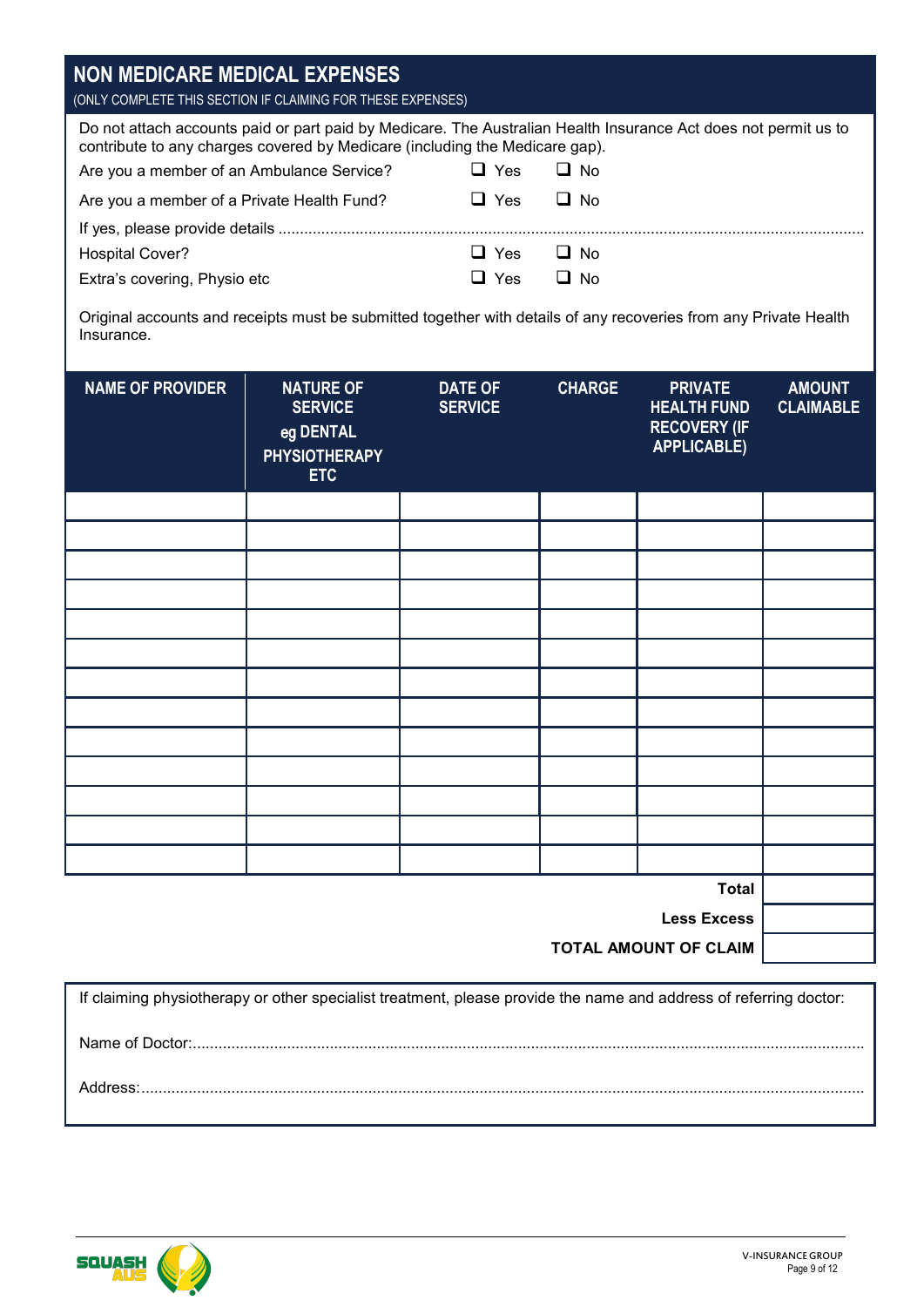| NON MEDICARE MEDICAL EXPENSES<br>(ONLY COMPLETE THIS SECTION IF CLAIMING FOR THESE EXPENSES)                                                                                                   |              |           |
|------------------------------------------------------------------------------------------------------------------------------------------------------------------------------------------------|--------------|-----------|
| Do not attach accounts paid or part paid by Medicare. The Australian Health Insurance Act does not permit us to<br>contribute to any charges covered by Medicare (including the Medicare gap). |              |           |
| Are you a member of an Ambulance Service?                                                                                                                                                      | $\Box$ Yes   | $\Box$ No |
| Are you a member of a Private Health Fund?                                                                                                                                                     | $\sqcup$ Yes | $\Box$ No |
|                                                                                                                                                                                                |              |           |
| <b>Hospital Cover?</b>                                                                                                                                                                         | $\Box$ Yes   | $\Box$ No |
| Extra's covering, Physio etc                                                                                                                                                                   | $\Box$ Yes   | $\Box$ No |
| Original accounts and receipts must be submitted together with details of any recoveries from any Private Health<br>Insurance.                                                                 |              |           |

| <b>NAME OF PROVIDER</b> | <b>NATURE OF</b><br><b>SERVICE</b><br>eg DENTAL<br><b>PHYSIOTHERAPY</b><br><b>ETC</b> | <b>DATE OF</b><br><b>SERVICE</b> | <b>CHARGE</b> | <b>PRIVATE</b><br><b>HEALTH FUND</b><br><b>RECOVERY (IF</b><br><b>APPLICABLE)</b> | <b>AMOUNT</b><br><b>CLAIMABLE</b> |
|-------------------------|---------------------------------------------------------------------------------------|----------------------------------|---------------|-----------------------------------------------------------------------------------|-----------------------------------|
|                         |                                                                                       |                                  |               |                                                                                   |                                   |
|                         |                                                                                       |                                  |               |                                                                                   |                                   |
|                         |                                                                                       |                                  |               |                                                                                   |                                   |
|                         |                                                                                       |                                  |               |                                                                                   |                                   |
|                         |                                                                                       |                                  |               |                                                                                   |                                   |
|                         |                                                                                       |                                  |               |                                                                                   |                                   |
|                         |                                                                                       |                                  |               |                                                                                   |                                   |
|                         |                                                                                       |                                  |               |                                                                                   |                                   |
|                         |                                                                                       |                                  |               |                                                                                   |                                   |
|                         |                                                                                       |                                  |               |                                                                                   |                                   |
|                         |                                                                                       |                                  |               |                                                                                   |                                   |
|                         |                                                                                       |                                  |               |                                                                                   |                                   |
|                         |                                                                                       |                                  |               |                                                                                   |                                   |
|                         |                                                                                       |                                  |               | <b>Total</b><br>$\sim$                                                            |                                   |

**Less Excess**

**TOTAL AMOUNT OF CLAIM**

If claiming physiotherapy or other specialist treatment, please provide the name and address of referring doctor: Name of Doctor:............................................................................................................................................................. Address:.........................................................................................................................................................................

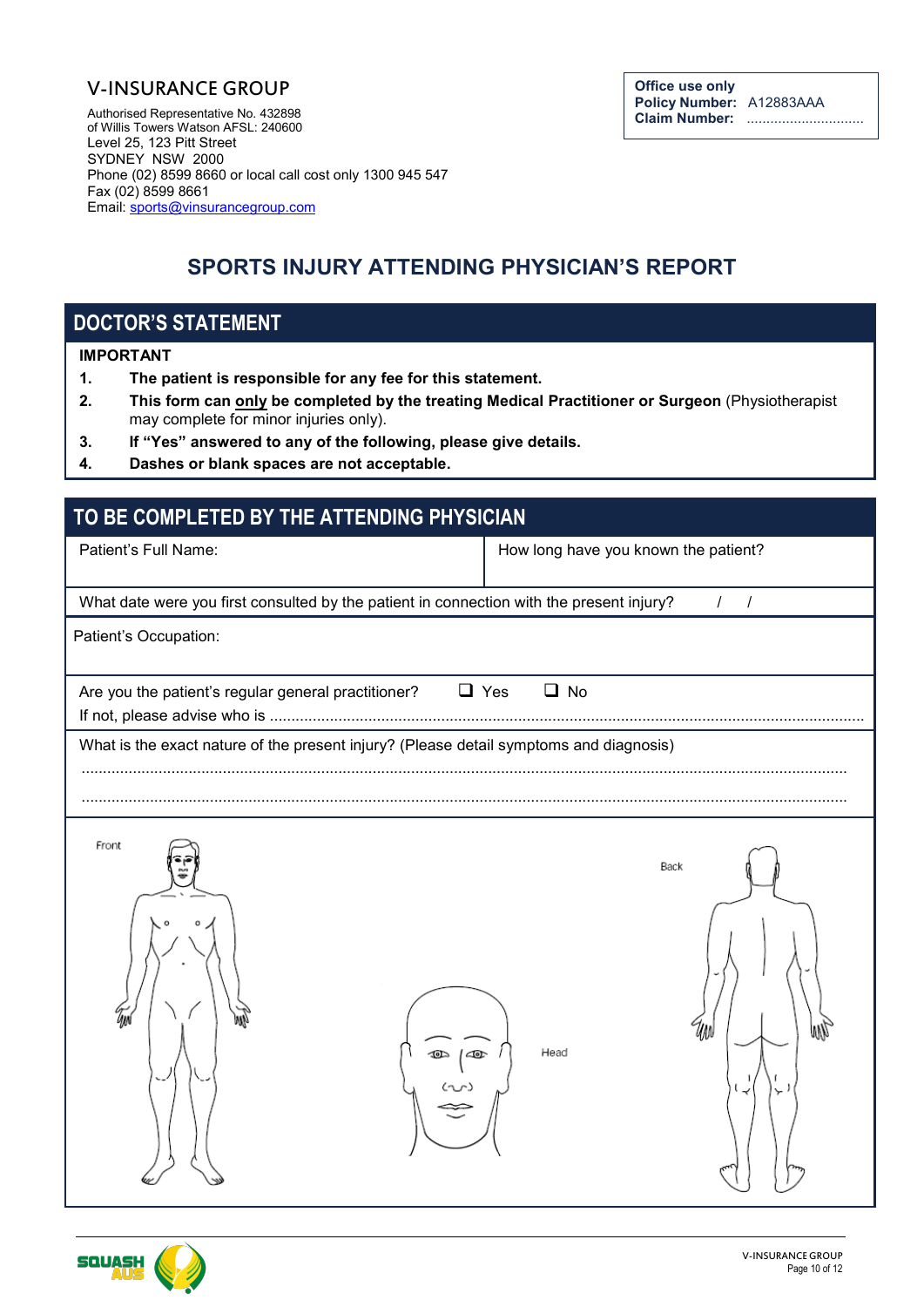#### V-INSURANCE GROUP

Authorised Representative No. 432898 of Willis Towers Watson AFSL: 240600 Level 25, 123 Pitt Street SYDNEY NSW 2000 Phone (02) 8599 8660 or local call cost only 1300 945 547 Fax (02) 8599 8661 Email: [sports@vinsurancegroup.com](mailto:sports@vinsurancegroup.com)

# **SPORTS INJURY ATTENDING PHYSICIAN'S REPORT**

## **DOCTOR'S STATEMENT**

#### **IMPORTANT**

- **1. The patient is responsible for any fee for this statement.**
- **2. This form can only be completed by the treating Medical Practitioner or Surgeon** (Physiotherapist may complete for minor injuries only).
- **3. If "Yes" answered to any of the following, please give details.**
- **4. Dashes or blank spaces are not acceptable.**

| TO BE COMPLETED BY THE ATTENDING PHYSICIAN                                               |                                      |
|------------------------------------------------------------------------------------------|--------------------------------------|
| Patient's Full Name:                                                                     | How long have you known the patient? |
| What date were you first consulted by the patient in connection with the present injury? | $1 \quad 1$                          |
| Patient's Occupation:                                                                    |                                      |
| Are you the patient's regular general practitioner?                                      | $\Box$ No<br>$\Box$ Yes              |
| What is the exact nature of the present injury? (Please detail symptoms and diagnosis)   |                                      |
| Front<br>ÚM<br> තු                                                                       | Back<br>Head                         |

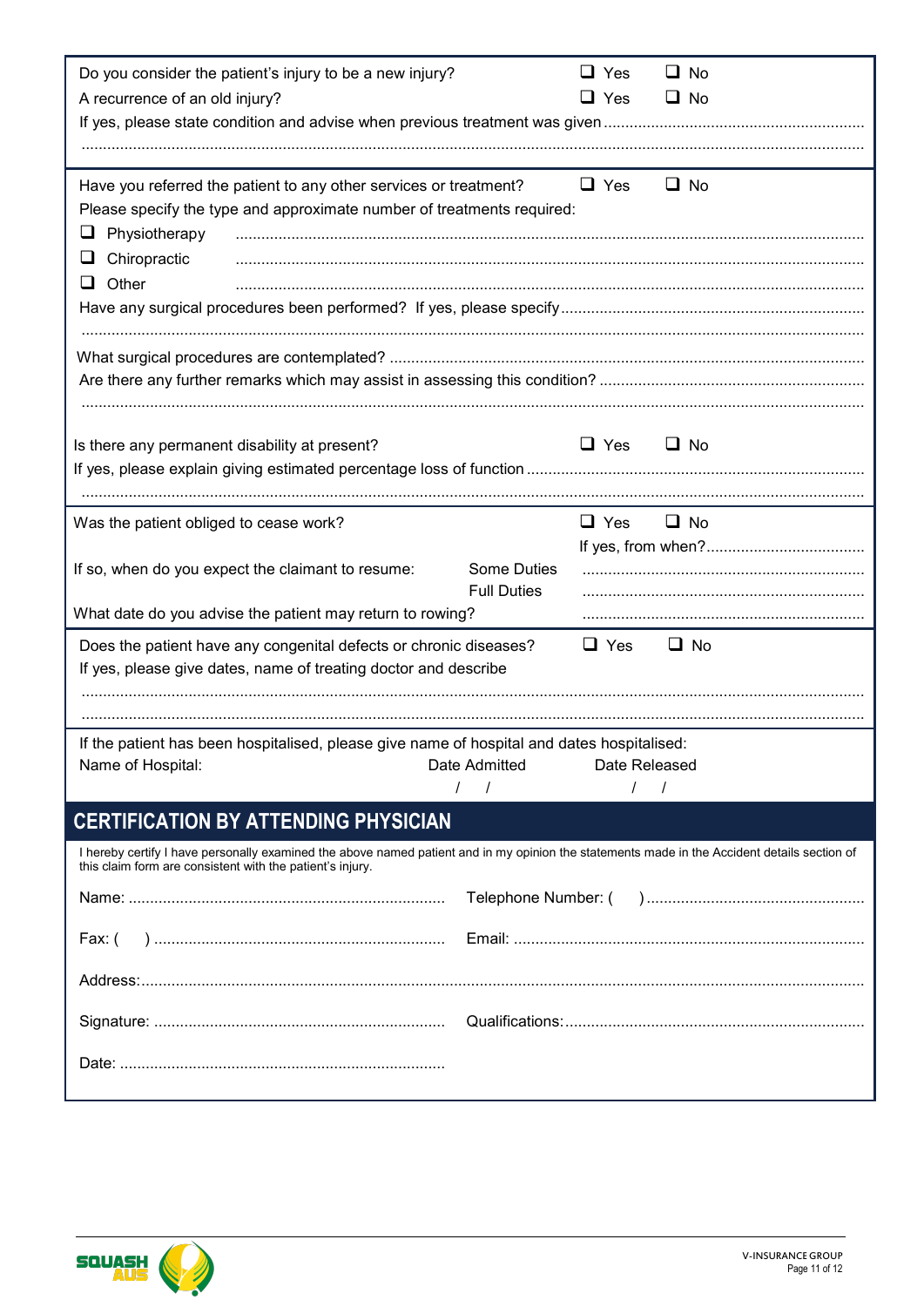| Do you consider the patient's injury to be a new injury?                                                                                                                                                  |                    | $\Box$ Yes    |          | $\Box$ No |
|-----------------------------------------------------------------------------------------------------------------------------------------------------------------------------------------------------------|--------------------|---------------|----------|-----------|
| A recurrence of an old injury?                                                                                                                                                                            |                    | $\Box$ Yes    |          | $\Box$ No |
|                                                                                                                                                                                                           |                    |               |          |           |
|                                                                                                                                                                                                           |                    |               |          |           |
|                                                                                                                                                                                                           |                    |               |          |           |
| Have you referred the patient to any other services or treatment?                                                                                                                                         |                    | $\Box$ Yes    |          | $\Box$ No |
| Please specify the type and approximate number of treatments required:                                                                                                                                    |                    |               |          |           |
| Physiotherapy<br>⊔                                                                                                                                                                                        |                    |               |          |           |
| Chiropractic<br>⊔                                                                                                                                                                                         |                    |               |          |           |
| $\Box$ Other                                                                                                                                                                                              |                    |               |          |           |
|                                                                                                                                                                                                           |                    |               |          |           |
|                                                                                                                                                                                                           |                    |               |          |           |
|                                                                                                                                                                                                           |                    |               |          |           |
|                                                                                                                                                                                                           |                    |               |          |           |
|                                                                                                                                                                                                           |                    |               |          |           |
|                                                                                                                                                                                                           |                    |               |          |           |
| Is there any permanent disability at present?                                                                                                                                                             |                    | $\Box$ Yes    |          | $\Box$ No |
|                                                                                                                                                                                                           |                    |               |          |           |
|                                                                                                                                                                                                           |                    |               |          |           |
| Was the patient obliged to cease work?                                                                                                                                                                    |                    | $\Box$ Yes    |          | $\Box$ No |
|                                                                                                                                                                                                           |                    |               |          |           |
| If so, when do you expect the claimant to resume:                                                                                                                                                         | Some Duties        |               |          |           |
|                                                                                                                                                                                                           | <b>Full Duties</b> |               |          |           |
| What date do you advise the patient may return to rowing?                                                                                                                                                 |                    |               |          |           |
| Does the patient have any congenital defects or chronic diseases?                                                                                                                                         |                    | $\Box$ Yes    |          | $\Box$ No |
| If yes, please give dates, name of treating doctor and describe                                                                                                                                           |                    |               |          |           |
|                                                                                                                                                                                                           |                    |               |          |           |
|                                                                                                                                                                                                           |                    |               |          |           |
|                                                                                                                                                                                                           |                    |               |          |           |
| If the patient has been hospitalised, please give name of hospital and dates hospitalised:                                                                                                                | Date Admitted      | Date Released |          |           |
| Name of Hospital:                                                                                                                                                                                         | $\prime$           | $\prime$      | $\prime$ |           |
|                                                                                                                                                                                                           |                    |               |          |           |
| <b>CERTIFICATION BY ATTENDING PHYSICIAN</b>                                                                                                                                                               |                    |               |          |           |
| I hereby certify I have personally examined the above named patient and in my opinion the statements made in the Accident details section of<br>this claim form are consistent with the patient's injury. |                    |               |          |           |
|                                                                                                                                                                                                           |                    |               |          |           |
|                                                                                                                                                                                                           |                    |               |          |           |
| Fax: (                                                                                                                                                                                                    |                    |               |          |           |
|                                                                                                                                                                                                           |                    |               |          |           |
|                                                                                                                                                                                                           |                    |               |          |           |
|                                                                                                                                                                                                           |                    |               |          |           |
|                                                                                                                                                                                                           |                    |               |          |           |
|                                                                                                                                                                                                           |                    |               |          |           |
|                                                                                                                                                                                                           |                    |               |          |           |
|                                                                                                                                                                                                           |                    |               |          |           |